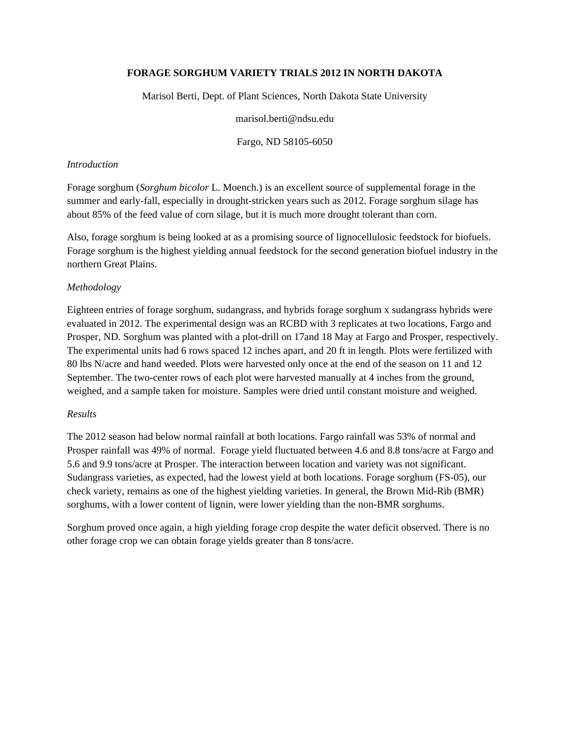## **FORAGE SORGHUM VARIETY TRIALS 2012 IN NORTH DAKOTA**

Marisol Berti, Dept. of Plant Sciences, North Dakota State University

marisol.berti@ndsu.edu

Fargo, ND 58105-6050

## *Introduction*

Forage sorghum (*Sorghum bicolor* L. Moench.) is an excellent source of supplemental forage in the summer and early-fall, especially in drought-stricken years such as 2012. Forage sorghum silage has about 85% of the feed value of corn silage, but it is much more drought tolerant than corn.

Also, forage sorghum is being looked at as a promising source of lignocellulosic feedstock for biofuels. Forage sorghum is the highest yielding annual feedstock for the second generation biofuel industry in the northern Great Plains.

## *Methodology*

Eighteen entries of forage sorghum, sudangrass, and hybrids forage sorghum x sudangrass hybrids were evaluated in 2012. The experimental design was an RCBD with 3 replicates at two locations, Fargo and Prosper, ND. Sorghum was planted with a plot-drill on 17and 18 May at Fargo and Prosper, respectively. The experimental units had 6 rows spaced 12 inches apart, and 20 ft in length. Plots were fertilized with 80 lbs N/acre and hand weeded. Plots were harvested only once at the end of the season on 11 and 12 September. The two-center rows of each plot were harvested manually at 4 inches from the ground, weighed, and a sample taken for moisture. Samples were dried until constant moisture and weighed.

## *Results*

The 2012 season had below normal rainfall at both locations. Fargo rainfall was 53% of normal and Prosper rainfall was 49% of normal. Forage yield fluctuated between 4.6 and 8.8 tons/acre at Fargo and 5.6 and 9.9 tons/acre at Prosper. The interaction between location and variety was not significant. Sudangrass varieties, as expected, had the lowest yield at both locations. Forage sorghum (FS-05), our check variety, remains as one of the highest yielding varieties. In general, the Brown Mid-Rib (BMR) sorghums, with a lower content of lignin, were lower yielding than the non-BMR sorghums.

Sorghum proved once again, a high yielding forage crop despite the water deficit observed. There is no other forage crop we can obtain forage yields greater than 8 tons/acre.